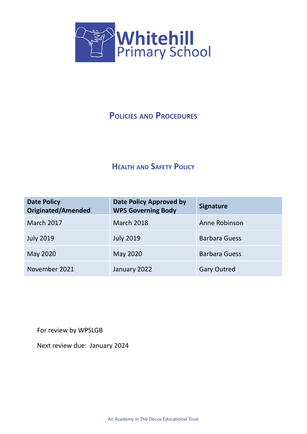

# **POLICIES AND PROCEDURES**

# **HEALTH AND SAFETY POLICY**

| <b>Date Policy</b><br><b>Originated/Amended</b> | <b>Date Policy Approved by</b><br><b>WPS Governing Body</b> | <b>Signature</b>     |
|-------------------------------------------------|-------------------------------------------------------------|----------------------|
| <b>March 2017</b>                               | <b>March 2018</b>                                           | Anne Robinson        |
| <b>July 2019</b>                                | <b>July 2019</b>                                            | <b>Barbara Guess</b> |
| May 2020                                        | May 2020                                                    | <b>Barbara Guess</b> |
| November 2021                                   | January 2022                                                | <b>Gary Outred</b>   |

For review by WPSLGB

Next review due: January 2024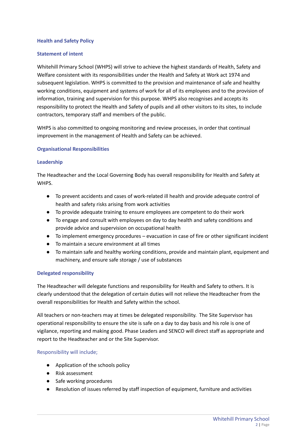### **Health and Safety Policy**

## **Statement of intent**

Whitehill Primary School (WHPS) will strive to achieve the highest standards of Health, Safety and Welfare consistent with its responsibilities under the Health and Safety at Work act 1974 and subsequent legislation. WHPS is committed to the provision and maintenance of safe and healthy working conditions, equipment and systems of work for all of its employees and to the provision of information, training and supervision for this purpose. WHPS also recognises and accepts its responsibility to protect the Health and Safety of pupils and all other visitors to its sites, to include contractors, temporary staff and members of the public.

WHPS is also committed to ongoing monitoring and review processes, in order that continual improvement in the management of Health and Safety can be achieved.

#### **Organisational Responsibilities**

## **Leadership**

The Headteacher and the Local Governing Body has overall responsibility for Health and Safety at WHPS.

- To prevent accidents and cases of work-related ill health and provide adequate control of health and safety risks arising from work activities
- To provide adequate training to ensure employees are competent to do their work
- To engage and consult with employees on day to day health and safety conditions and provide advice and supervision on occupational health
- To implement emergency procedures evacuation in case of fire or other significant incident
- To maintain a secure environment at all times
- To maintain safe and healthy working conditions, provide and maintain plant, equipment and machinery, and ensure safe storage / use of substances

## **Delegated responsibility**

The Headteacher will delegate functions and responsibility for Health and Safety to others. It is clearly understood that the delegation of certain duties will not relieve the Headteacher from the overall responsibilities for Health and Safety within the school.

All teachers or non-teachers may at times be delegated responsibility. The Site Supervisor has operational responsibility to ensure the site is safe on a day to day basis and his role is one of vigilance, reporting and making good. Phase Leaders and SENCO will direct staff as appropriate and report to the Headteacher and or the Site Supervisor.

## Responsibility will include;

- Application of the schools policy
- Risk assessment
- Safe working procedures
- Resolution of issues referred by staff inspection of equipment, furniture and activities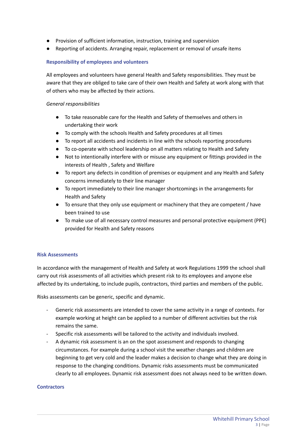- Provision of sufficient information, instruction, training and supervision
- Reporting of accidents. Arranging repair, replacement or removal of unsafe items

#### **Responsibility of employees and volunteers**

All employees and volunteers have general Health and Safety responsibilities. They must be aware that they are obliged to take care of their own Health and Safety at work along with that of others who may be affected by their actions.

#### *General responsibilities*

- To take reasonable care for the Health and Safety of themselves and others in undertaking their work
- To comply with the schools Health and Safety procedures at all times
- To report all accidents and incidents in line with the schools reporting procedures
- To co-operate with school leadership on all matters relating to Health and Safety
- Not to intentionally interfere with or misuse any equipment or fittings provided in the interests of Health , Safety and Welfare
- To report any defects in condition of premises or equipment and any Health and Safety concerns immediately to their line manager
- To report immediately to their line manager shortcomings in the arrangements for Health and Safety
- To ensure that they only use equipment or machinery that they are competent / have been trained to use
- To make use of all necessary control measures and personal protective equipment (PPE) provided for Health and Safety reasons

#### **Risk Assessments**

In accordance with the management of Health and Safety at work Regulations 1999 the school shall carry out risk assessments of all activities which present risk to its employees and anyone else affected by its undertaking, to include pupils, contractors, third parties and members of the public.

Risks assessments can be generic, specific and dynamic.

- Generic risk assessments are intended to cover the same activity in a range of contexts. For example working at height can be applied to a number of different activities but the risk remains the same.
- Specific risk assessments will be tailored to the activity and individuals involved.
- A dynamic risk assessment is an on the spot assessment and responds to changing circumstances. For example during a school visit the weather changes and children are beginning to get very cold and the leader makes a decision to change what they are doing in response to the changing conditions. Dynamic risks assessments must be communicated clearly to all employees. Dynamic risk assessment does not always need to be written down.

#### **Contractors**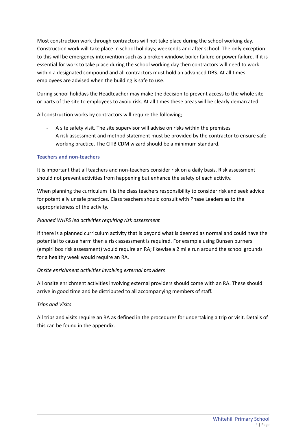Most construction work through contractors will not take place during the school working day. Construction work will take place in school holidays; weekends and after school. The only exception to this will be emergency intervention such as a broken window, boiler failure or power failure. If it is essential for work to take place during the school working day then contractors will need to work within a designated compound and all contractors must hold an advanced DBS. At all times employees are advised when the building is safe to use.

During school holidays the Headteacher may make the decision to prevent access to the whole site or parts of the site to employees to avoid risk. At all times these areas will be clearly demarcated.

All construction works by contractors will require the following;

- A site safety visit. The site supervisor will advise on risks within the premises
- A risk assessment and method statement must be provided by the contractor to ensure safe working practice. The CITB CDM wizard should be a minimum standard.

## **Teachers and non-teachers**

It is important that all teachers and non-teachers consider risk on a daily basis. Risk assessment should not prevent activities from happening but enhance the safety of each activity.

When planning the curriculum it is the class teachers responsibility to consider risk and seek advice for potentially unsafe practices. Class teachers should consult with Phase Leaders as to the appropriateness of the activity.

## *Planned WHPS led activities requiring risk assessment*

If there is a planned curriculum activity that is beyond what is deemed as normal and could have the potential to cause harm then a risk assessment is required. For example using Bunsen burners (empiri box risk assessment) would require an RA; likewise a 2 mile run around the school grounds for a healthy week would require an RA.

## *Onsite enrichment activities involving external providers*

All onsite enrichment activities involving external providers should come with an RA. These should arrive in good time and be distributed to all accompanying members of staff.

## *Trips and Visits*

All trips and visits require an RA as defined in the procedures for undertaking a trip or visit. Details of this can be found in the appendix.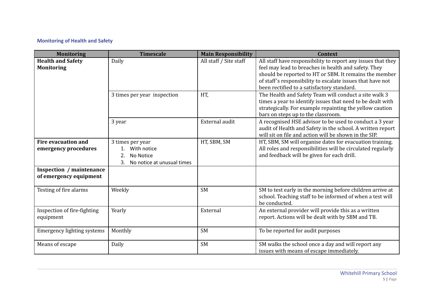# **Monitoring of Health and Safety**

| <b>Monitoring</b>                                         | <b>Timescale</b>                                                                       | <b>Main Responsibility</b> | <b>Context</b>                                                                                                                                                                                                                                                                             |
|-----------------------------------------------------------|----------------------------------------------------------------------------------------|----------------------------|--------------------------------------------------------------------------------------------------------------------------------------------------------------------------------------------------------------------------------------------------------------------------------------------|
| <b>Health and Safety</b><br><b>Monitoring</b>             | Daily                                                                                  | All staff / Site staff     | All staff have responsibility to report any issues that they<br>feel may lead to breaches in health and safety. They<br>should be reported to HT or SBM. It remains the member<br>of staff's responsibility to escalate issues that have not<br>been rectified to a satisfactory standard. |
|                                                           | 3 times per year inspection                                                            | HT,                        | The Health and Safety Team will conduct a site walk 3<br>times a year to identify issues that need to be dealt with<br>strategically. For example repainting the yellow caution<br>bars on steps up to the classroom.                                                                      |
|                                                           | 3 year                                                                                 | External audit             | A recognised HSE advisor to be used to conduct a 3 year<br>audit of Health and Safety in the school. A written report<br>will sit on file and action will be shown in the SIP.                                                                                                             |
| <b>Fire evacuation and</b><br>emergency procedures        | 3 times per year<br>With notice<br>2.<br>No Notice<br>3.<br>No notice at unusual times | HT, SBM, SM                | HT, SBM, SM will organise dates for evacuation training.<br>All roles and responsibilities will be circulated regularly<br>and feedback will be given for each drill.                                                                                                                      |
| <b>Inspection / maintenance</b><br>of emergency equipment |                                                                                        |                            |                                                                                                                                                                                                                                                                                            |
| Testing of fire alarms                                    | Weekly                                                                                 | <b>SM</b>                  | SM to test early in the morning before children arrive at<br>school. Teaching staff to be informed of when a test will<br>be conducted.                                                                                                                                                    |
| Inspection of fire-fighting<br>equipment                  | Yearly                                                                                 | External                   | An external provider will provide this as a written<br>report. Actions will be dealt with by SBM and TB.                                                                                                                                                                                   |
| <b>Emergency lighting systems</b>                         | Monthly                                                                                | <b>SM</b>                  | To be reported for audit purposes                                                                                                                                                                                                                                                          |
| Means of escape                                           | Daily                                                                                  | <b>SM</b>                  | SM walks the school once a day and will report any<br>issues with means of escape immediately.                                                                                                                                                                                             |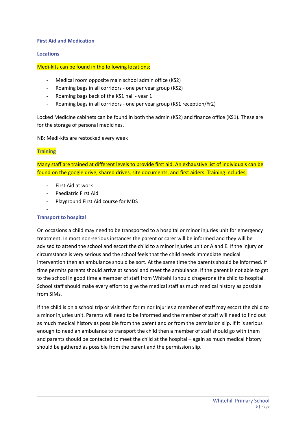## **First Aid and Medication**

## **Locations**

## Medi-kits can be found in the following locations;

- Medical room opposite main school admin office (KS2)
- Roaming bags in all corridors one per year group (KS2)
- Roaming bags back of the KS1 hall year 1
- Roaming bags in all corridors one per year group (KS1 reception/Yr2)

Locked Medicine cabinets can be found in both the admin (KS2) and finance office (KS1). These are for the storage of personal medicines.

NB: Medi-kits are restocked every week

## **Training**

Many staff are trained at different levels to provide first aid. An exhaustive list of individuals can be found on the google drive, shared drives, site documents, and first aiders. Training includes;

- First Aid at work
- Paediatric First Aid
- Playground First Aid course for MDS

#### -

## **Transport to hospital**

On occasions a child may need to be transported to a hospital or minor injuries unit for emergency treatment. In most non-serious instances the parent or carer will be informed and they will be advised to attend the school and escort the child to a minor injuries unit or A and E. If the injury or circumstance is very serious and the school feels that the child needs immediate medical intervention then an ambulance should be sort. At the same time the parents should be informed. If time permits parents should arrive at school and meet the ambulance. If the parent is not able to get to the school in good time a member of staff from Whitehill should chaperone the child to hospital. School staff should make every effort to give the medical staff as much medical history as possible from SIMs.

If the child is on a school trip or visit then for minor injuries a member of staff may escort the child to a minor injuries unit. Parents will need to be informed and the member of staff will need to find out as much medical history as possible from the parent and or from the permission slip. If it is serious enough to need an ambulance to transport the child then a member of staff should go with them and parents should be contacted to meet the child at the hospital – again as much medical history should be gathered as possible from the parent and the permission slip.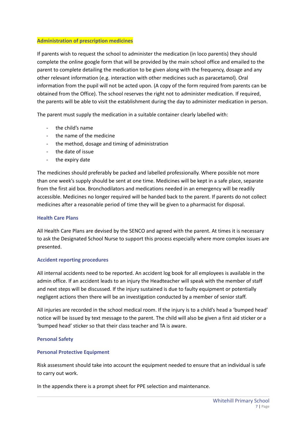## **Administration of prescription medicines**

If parents wish to request the school to administer the medication (in loco parentis) they should complete the online google form that will be provided by the main school office and emailed to the parent to complete detailing the medication to be given along with the frequency, dosage and any other relevant information (e.g. interaction with other medicines such as paracetamol). Oral information from the pupil will not be acted upon. (A copy of the form required from parents can be obtained from the Office). The school reserves the right not to administer medication. If required, the parents will be able to visit the establishment during the day to administer medication in person.

The parent must supply the medication in a suitable container clearly labelled with:

- the child's name
- the name of the medicine
- the method, dosage and timing of administration
- the date of issue
- the expiry date

The medicines should preferably be packed and labelled professionally. Where possible not more than one week's supply should be sent at one time. Medicines will be kept in a safe place, separate from the first aid box. Bronchodilators and medications needed in an emergency will be readily accessible. Medicines no longer required will be handed back to the parent. If parents do not collect medicines after a reasonable period of time they will be given to a pharmacist for disposal.

## **Health Care Plans**

All Health Care Plans are devised by the SENCO and agreed with the parent. At times it is necessary to ask the Designated School Nurse to support this process especially where more complex issues are presented.

## **Accident reporting procedures**

All internal accidents need to be reported. An accident log book for all employees is available in the admin office. If an accident leads to an injury the Headteacher will speak with the member of staff and next steps will be discussed. If the injury sustained is due to faulty equipment or potentially negligent actions then there will be an investigation conducted by a member of senior staff.

All injuries are recorded in the school medical room. If the injury is to a child's head a 'bumped head' notice will be issued by text message to the parent. The child will also be given a first aid sticker or a 'bumped head' sticker so that their class teacher and TA is aware.

## **Personal Safety**

## **Personal Protective Equipment**

Risk assessment should take into account the equipment needed to ensure that an individual is safe to carry out work.

In the appendix there is a prompt sheet for PPE selection and maintenance.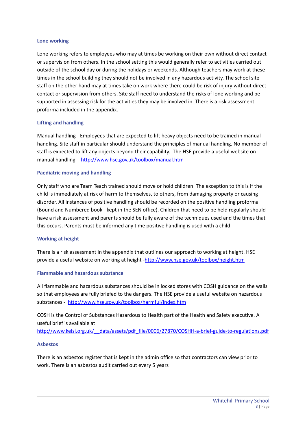#### **Lone working**

Lone working refers to employees who may at times be working on their own without direct contact or supervision from others. In the school setting this would generally refer to activities carried out outside of the school day or during the holidays or weekends. Although teachers may work at these times in the school building they should not be involved in any hazardous activity. The school site staff on the other hand may at times take on work where there could be risk of injury without direct contact or supervision from others. Site staff need to understand the risks of lone working and be supported in assessing risk for the activities they may be involved in. There is a risk assessment proforma included in the appendix.

## **Lifting and handling**

Manual handling - Employees that are expected to lift heavy objects need to be trained in manual handling. Site staff in particular should understand the principles of manual handling. No member of staff is expected to lift any objects beyond their capability. The HSE provide a useful website on manual handling - <http://www.hse.gov.uk/toolbox/manual.htm>

#### **Paediatric moving and handling**

Only staff who are Team Teach trained should move or hold children. The exception to this is if the child is immediately at risk of harm to themselves, to others, from damaging property or causing disorder. All instances of positive handling should be recorded on the positive handling proforma (Bound and Numbered book - kept in the SEN office). Children that need to be held regularly should have a risk assessment and parents should be fully aware of the techniques used and the times that this occurs. Parents must be informed any time positive handling is used with a child.

#### **Working at height**

There is a risk assessment in the appendix that outlines our approach to working at height. HSE provide a useful website on working at height -<http://www.hse.gov.uk/toolbox/height.htm>

#### **Flammable and hazardous substance**

All flammable and hazardous substances should be in locked stores with COSH guidance on the walls so that employees are fully briefed to the dangers. The HSE provide a useful website on hazardous substances - <http://www.hse.gov.uk/toolbox/harmful/index.htm>

COSH is the Control of Substances Hazardous to Health part of the Health and Safety executive. A useful brief is available at [http://www.kelsi.org.uk/\\_\\_data/assets/pdf\\_file/0006/27870/COSHH-a-brief-guide-to-regulations.pdf](http://www.kelsi.org.uk/__data/assets/pdf_file/0006/27870/COSHH-a-brief-guide-to-regulations.pdf)

#### **Asbestos**

There is an asbestos register that is kept in the admin office so that contractors can view prior to work. There is an asbestos audit carried out every 5 years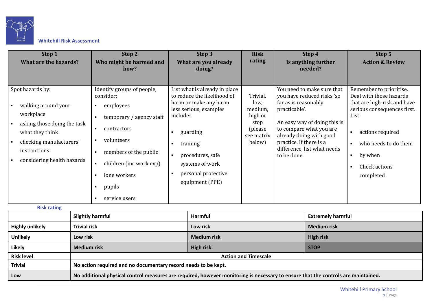

# **Whitehill Risk Assessment**

| Step 1<br><b>What are the hazards?</b>                                                                                                                                          | Step 2<br>Who might be harmed and<br>how?                                                                                                                                                                                           | Step 3<br>What are you already<br>doing?                                                                                                                                                                                             | <b>Risk</b><br>rating                                                              | Step 4<br>Is anything further<br>needed?                                                                                                                                                                                                                         | Step 5<br><b>Action &amp; Review</b>                                                                                                                                                                                                                                 |
|---------------------------------------------------------------------------------------------------------------------------------------------------------------------------------|-------------------------------------------------------------------------------------------------------------------------------------------------------------------------------------------------------------------------------------|--------------------------------------------------------------------------------------------------------------------------------------------------------------------------------------------------------------------------------------|------------------------------------------------------------------------------------|------------------------------------------------------------------------------------------------------------------------------------------------------------------------------------------------------------------------------------------------------------------|----------------------------------------------------------------------------------------------------------------------------------------------------------------------------------------------------------------------------------------------------------------------|
| Spot hazards by:<br>walking around your<br>workplace<br>asking those doing the task<br>what they think<br>checking manufacturers'<br>instructions<br>considering health hazards | Identify groups of people,<br>consider:<br>employees<br>$\blacksquare$<br>temporary / agency staff<br>contractors<br>п<br>volunteers<br>members of the public<br>children (inc work exp)<br>lone workers<br>pupils<br>service users | List what is already in place<br>to reduce the likelihood of<br>harm or make any harm<br>less serious, examples<br>include:<br>guarding<br>training<br>procedures, safe<br>systems of work<br>personal protective<br>equipment (PPE) | Trivial,<br>low,<br>medium,<br>high or<br>stop<br>(please)<br>see matrix<br>below) | You need to make sure that<br>you have reduced risks 'so<br>far as is reasonably<br>practicable'.<br>An easy way of doing this is<br>to compare what you are<br>already doing with good<br>practice. If there is a<br>difference, list what needs<br>to be done. | Remember to prioritise.<br>Deal with those hazards<br>that are high-risk and have<br>serious consequences first.<br>List:<br>actions required<br>$\blacksquare$<br>who needs to do them<br>$\blacksquare$<br>by when<br>$\blacksquare$<br>Check actions<br>completed |
| <b>Risk rating</b>                                                                                                                                                              | $\mathbf{C}$ is the state of the state of the state of the state of the state of the state of the state of the state of the state of the state of the state of the state of the state of the state of the state of the state of t   | .                                                                                                                                                                                                                                    |                                                                                    | <b>Production of the control</b>                                                                                                                                                                                                                                 |                                                                                                                                                                                                                                                                      |

|                        | <b>Slightly harmful</b>                                                                                                           | Harmful                     | <b>Extremely harmful</b> |  |  |
|------------------------|-----------------------------------------------------------------------------------------------------------------------------------|-----------------------------|--------------------------|--|--|
| <b>Highly unlikely</b> | <b>Trivial risk</b>                                                                                                               | Low risk                    | <b>Medium risk</b>       |  |  |
| <b>Unlikely</b>        | Low risk                                                                                                                          | <b>Medium risk</b>          | <b>High risk</b>         |  |  |
| <b>Likely</b>          | <b>Medium risk</b>                                                                                                                | <b>High risk</b>            | <b>STOP</b>              |  |  |
| <b>Risk level</b>      |                                                                                                                                   | <b>Action and Timescale</b> |                          |  |  |
| <b>Trivial</b>         | No action required and no documentary record needs to be kept.                                                                    |                             |                          |  |  |
| Low                    | No additional physical control measures are required, however monitoring is necessary to ensure that the controls are maintained. |                             |                          |  |  |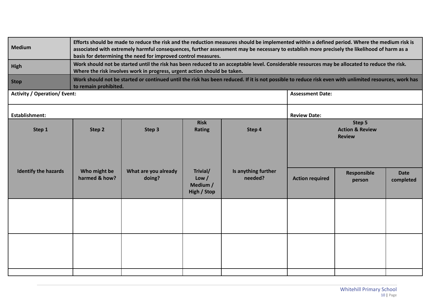| <b>Medium</b>                                | Efforts should be made to reduce the risk and the reduction measures should be implemented within a defined period. Where the medium risk is<br>associated with extremely harmful consequences, further assessment may be necessary to establish more precisely the likelihood of harm as a<br>basis for determining the need for improved control measures. |                                                                                                                                                                                                                            |                                              |                                |                         |                                                       |                          |  |
|----------------------------------------------|--------------------------------------------------------------------------------------------------------------------------------------------------------------------------------------------------------------------------------------------------------------------------------------------------------------------------------------------------------------|----------------------------------------------------------------------------------------------------------------------------------------------------------------------------------------------------------------------------|----------------------------------------------|--------------------------------|-------------------------|-------------------------------------------------------|--------------------------|--|
| High                                         |                                                                                                                                                                                                                                                                                                                                                              | Work should not be started until the risk has been reduced to an acceptable level. Considerable resources may be allocated to reduce the risk.<br>Where the risk involves work in progress, urgent action should be taken. |                                              |                                |                         |                                                       |                          |  |
| <b>Stop</b>                                  | to remain prohibited.                                                                                                                                                                                                                                                                                                                                        | Work should not be started or continued until the risk has been reduced. If it is not possible to reduce risk even with unlimited resources, work has                                                                      |                                              |                                |                         |                                                       |                          |  |
| <b>Activity / Operation/ Event:</b>          |                                                                                                                                                                                                                                                                                                                                                              |                                                                                                                                                                                                                            |                                              |                                | <b>Assessment Date:</b> |                                                       |                          |  |
| <b>Establishment:</b><br><b>Review Date:</b> |                                                                                                                                                                                                                                                                                                                                                              |                                                                                                                                                                                                                            |                                              |                                |                         |                                                       |                          |  |
| Step 1                                       | Step 2                                                                                                                                                                                                                                                                                                                                                       | Step 3                                                                                                                                                                                                                     | <b>Risk</b><br><b>Rating</b>                 | Step 4                         |                         | Step 5<br><b>Action &amp; Review</b><br><b>Review</b> |                          |  |
| <b>Identify the hazards</b>                  | Who might be<br>harmed & how?                                                                                                                                                                                                                                                                                                                                | What are you already<br>doing?                                                                                                                                                                                             | Trivial/<br>Low /<br>Medium /<br>High / Stop | Is anything further<br>needed? | <b>Action required</b>  | <b>Responsible</b><br>person                          | <b>Date</b><br>completed |  |
|                                              |                                                                                                                                                                                                                                                                                                                                                              |                                                                                                                                                                                                                            |                                              |                                |                         |                                                       |                          |  |
|                                              |                                                                                                                                                                                                                                                                                                                                                              |                                                                                                                                                                                                                            |                                              |                                |                         |                                                       |                          |  |
|                                              |                                                                                                                                                                                                                                                                                                                                                              |                                                                                                                                                                                                                            |                                              |                                |                         |                                                       |                          |  |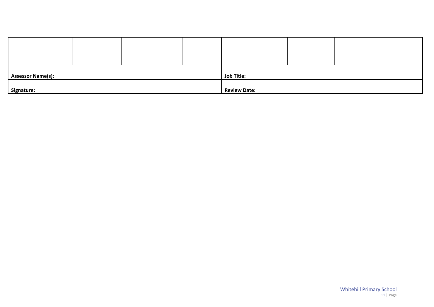| <b>Assessor Name(s):</b> |  | <b>Job Title:</b> |                     |  |  |  |
|--------------------------|--|-------------------|---------------------|--|--|--|
| Signature:               |  |                   | <b>Review Date:</b> |  |  |  |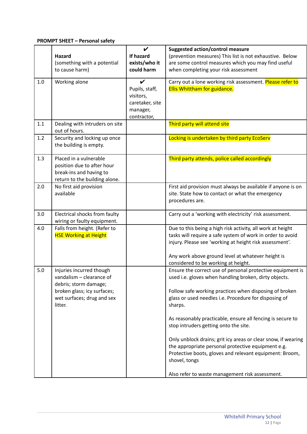# **PROMPT SHEET – Personal safety**

|     |                                | $\boldsymbol{\nu}$ |                                                                                                     |
|-----|--------------------------------|--------------------|-----------------------------------------------------------------------------------------------------|
|     | Hazard                         | If hazard          | <b>Suggested action/control measure</b><br>(prevention measures) This list is not exhaustive. Below |
|     | (something with a potential    | exists/who it      | are some control measures which you may find useful                                                 |
|     | to cause harm)                 | could harm         | when completing your risk assessment                                                                |
|     |                                |                    |                                                                                                     |
| 1.0 | Working alone                  | ✔                  | Carry out a lone working risk assessment. Please refer to                                           |
|     |                                | Pupils, staff,     | <b>Ellis Whittham for guidance.</b>                                                                 |
|     |                                | visitors,          |                                                                                                     |
|     |                                | caretaker, site    |                                                                                                     |
|     |                                | manager,           |                                                                                                     |
|     |                                | contractor,        |                                                                                                     |
| 1.1 | Dealing with intruders on site |                    | Third party will attend site                                                                        |
|     | out of hours.                  |                    |                                                                                                     |
| 1.2 | Security and locking up once   |                    | Locking is undertaken by third party EcoServ                                                        |
|     | the building is empty.         |                    |                                                                                                     |
| 1.3 | Placed in a vulnerable         |                    | Third party attends, police called accordingly                                                      |
|     | position due to after hour     |                    |                                                                                                     |
|     | break-ins and having to        |                    |                                                                                                     |
|     | return to the building alone.  |                    |                                                                                                     |
| 2.0 | No first aid provision         |                    | First aid provision must always be available if anyone is on                                        |
|     | available                      |                    | site. State how to contact or what the emergency                                                    |
|     |                                |                    | procedures are.                                                                                     |
| 3.0 | Electrical shocks from faulty  |                    | Carry out a 'working with electricity' risk assessment.                                             |
|     | wiring or faulty equipment.    |                    |                                                                                                     |
| 4.0 | Falls from height. (Refer to   |                    | Due to this being a high risk activity, all work at height                                          |
|     | <b>HSE Working at Height</b>   |                    | tasks will require a safe system of work in order to avoid                                          |
|     |                                |                    | injury. Please see 'working at height risk assessment'.                                             |
|     |                                |                    |                                                                                                     |
|     |                                |                    | Any work above ground level at whatever height is                                                   |
|     |                                |                    | considered to be working at height.                                                                 |
| 5.0 | Injuries incurred though       |                    | Ensure the correct use of personal protective equipment is                                          |
|     | vandalism - clearance of       |                    | used i.e. gloves when handling broken, dirty objects.                                               |
|     | debris; storm damage;          |                    |                                                                                                     |
|     | broken glass; icy surfaces;    |                    | Follow safe working practices when disposing of broken                                              |
|     | wet surfaces; drug and sex     |                    | glass or used needles i.e. Procedure for disposing of                                               |
|     | litter.                        |                    | sharps.                                                                                             |
|     |                                |                    | As reasonably practicable, ensure all fencing is secure to                                          |
|     |                                |                    | stop intruders getting onto the site.                                                               |
|     |                                |                    |                                                                                                     |
|     |                                |                    | Only unblock drains; grit icy areas or clear snow, if wearing                                       |
|     |                                |                    | the appropriate personal protective equipment e.g.                                                  |
|     |                                |                    | Protective boots, gloves and relevant equipment: Broom,                                             |
|     |                                |                    | shovel, tongs                                                                                       |
|     |                                |                    |                                                                                                     |
|     |                                |                    | Also refer to waste management risk assessment.                                                     |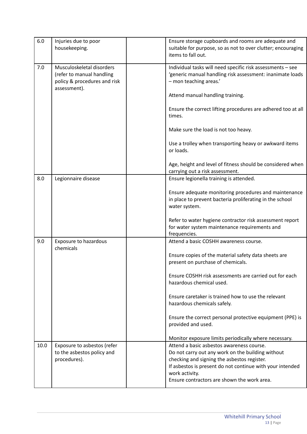| 6.0  | Injuries due to poor<br>housekeeping.                                                                  | Ensure storage cupboards and rooms are adequate and<br>suitable for purpose, so as not to over clutter; encouraging<br>items to fall out.                                                                                                                                                                                                                                                                                                    |
|------|--------------------------------------------------------------------------------------------------------|----------------------------------------------------------------------------------------------------------------------------------------------------------------------------------------------------------------------------------------------------------------------------------------------------------------------------------------------------------------------------------------------------------------------------------------------|
| 7.0  | Musculoskeletal disorders<br>(refer to manual handling<br>policy & procedures and risk<br>assessment). | Individual tasks will need specific risk assessments - see<br>'generic manual handling risk assessment: inanimate loads<br>- mon teaching areas.'<br>Attend manual handling training.<br>Ensure the correct lifting procedures are adhered too at all<br>times.<br>Make sure the load is not too heavy.<br>Use a trolley when transporting heavy or awkward items<br>or loads.<br>Age, height and level of fitness should be considered when |
|      |                                                                                                        | carrying out a risk assessment.                                                                                                                                                                                                                                                                                                                                                                                                              |
| 8.0  | Legionnaire disease                                                                                    | Ensure legionella training is attended.<br>Ensure adequate monitoring procedures and maintenance<br>in place to prevent bacteria proliferating in the school<br>water system.                                                                                                                                                                                                                                                                |
|      |                                                                                                        | Refer to water hygiene contractor risk assessment report<br>for water system maintenance requirements and<br>frequencies.                                                                                                                                                                                                                                                                                                                    |
| 9.0  | <b>Exposure to hazardous</b>                                                                           | Attend a basic COSHH awareness course.                                                                                                                                                                                                                                                                                                                                                                                                       |
|      | chemicals                                                                                              | Ensure copies of the material safety data sheets are<br>present on purchase of chemicals.                                                                                                                                                                                                                                                                                                                                                    |
|      |                                                                                                        | Ensure COSHH risk assessments are carried out for each<br>hazardous chemical used.                                                                                                                                                                                                                                                                                                                                                           |
|      |                                                                                                        | Ensure caretaker is trained how to use the relevant<br>hazardous chemicals safely.                                                                                                                                                                                                                                                                                                                                                           |
|      |                                                                                                        | Ensure the correct personal protective equipment (PPE) is<br>provided and used.                                                                                                                                                                                                                                                                                                                                                              |
|      |                                                                                                        | Monitor exposure limits periodically where necessary.                                                                                                                                                                                                                                                                                                                                                                                        |
| 10.0 | Exposure to asbestos (refer<br>to the asbestos policy and<br>procedures).                              | Attend a basic asbestos awareness course.<br>Do not carry out any work on the building without<br>checking and signing the asbestos register.<br>If asbestos is present do not continue with your intended<br>work activity.<br>Ensure contractors are shown the work area.                                                                                                                                                                  |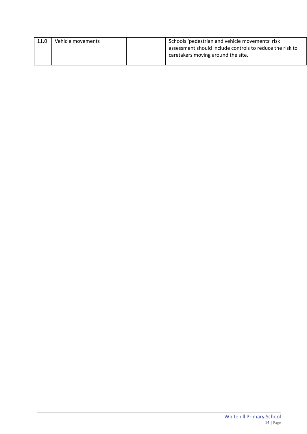| 11.0 | Vehicle movements | Schools 'pedestrian and vehicle movements' risk          |  |
|------|-------------------|----------------------------------------------------------|--|
|      |                   | assessment should include controls to reduce the risk to |  |
|      |                   | caretakers moving around the site.                       |  |
|      |                   |                                                          |  |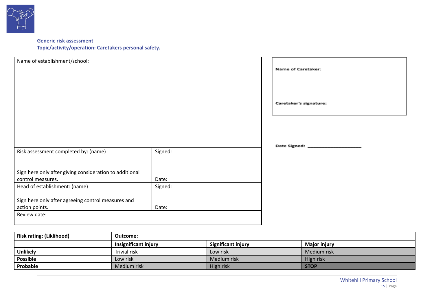

# **Generic risk assessment Topic/activity/operation: Caretakers personal safety.**

| Name of establishment/school:                           |         | <b>Name of Caretaker:</b> |
|---------------------------------------------------------|---------|---------------------------|
|                                                         |         | Caretaker's signature:    |
|                                                         |         |                           |
| Risk assessment completed by: (name)                    | Signed: |                           |
|                                                         |         |                           |
| Sign here only after giving consideration to additional |         |                           |
| control measures.                                       | Date:   |                           |
| Head of establishment: (name)                           | Signed: |                           |
| Sign here only after agreeing control measures and      |         |                           |
| action points.                                          | Date:   |                           |
| Review date:                                            |         |                           |

| <b>Risk rating: (Liklihood)</b> | Outcome:                    |                           |                     |  |  |
|---------------------------------|-----------------------------|---------------------------|---------------------|--|--|
|                                 | <b>Insignificant injury</b> | <b>Significant injury</b> | <b>Major injury</b> |  |  |
| <b>Unlikely</b>                 | Trivial risk                | Low risk                  | Medium risk         |  |  |
| Possible                        | Low risk                    | Medium risk               | High risk           |  |  |
| Probable                        | Medium risk                 | High risk                 | <b>STOP</b>         |  |  |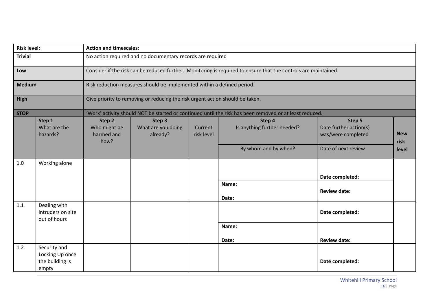| <b>Risk level:</b> |                                                             | <b>Action and timescales:</b>                                                 |                                          |                       |                                                                                                                 |                                                        |                    |  |  |  |
|--------------------|-------------------------------------------------------------|-------------------------------------------------------------------------------|------------------------------------------|-----------------------|-----------------------------------------------------------------------------------------------------------------|--------------------------------------------------------|--------------------|--|--|--|
| <b>Trivial</b>     |                                                             | No action required and no documentary records are required                    |                                          |                       |                                                                                                                 |                                                        |                    |  |  |  |
| Low                |                                                             |                                                                               |                                          |                       | Consider if the risk can be reduced further. Monitoring is required to ensure that the controls are maintained. |                                                        |                    |  |  |  |
| <b>Medium</b>      |                                                             | Risk reduction measures should be implemented within a defined period.        |                                          |                       |                                                                                                                 |                                                        |                    |  |  |  |
| High               |                                                             | Give priority to removing or reducing the risk urgent action should be taken. |                                          |                       |                                                                                                                 |                                                        |                    |  |  |  |
| <b>STOP</b>        |                                                             |                                                                               |                                          |                       | 'Work' activity should NOT be started or continued until the risk has been removed or at least reduced.         |                                                        |                    |  |  |  |
|                    | Step 1<br>What are the<br>hazards?                          | Step 2<br>Who might be<br>harmed and<br>how?                                  | Step 3<br>What are you doing<br>already? | Current<br>risk level | Step 4<br>Is anything further needed?                                                                           | Step 5<br>Date further action(s)<br>was/were completed | <b>New</b><br>risk |  |  |  |
|                    |                                                             |                                                                               |                                          |                       | By whom and by when?                                                                                            | Date of next review                                    | level              |  |  |  |
| 1.0                | Working alone                                               |                                                                               |                                          |                       |                                                                                                                 |                                                        |                    |  |  |  |
|                    |                                                             |                                                                               |                                          |                       |                                                                                                                 | Date completed:                                        |                    |  |  |  |
|                    |                                                             |                                                                               |                                          |                       | Name:<br>Date:                                                                                                  | <b>Review date:</b>                                    |                    |  |  |  |
| 1.1                | Dealing with<br>intruders on site<br>out of hours           |                                                                               |                                          |                       |                                                                                                                 | Date completed:                                        |                    |  |  |  |
|                    |                                                             |                                                                               |                                          |                       | Name:                                                                                                           |                                                        |                    |  |  |  |
|                    |                                                             |                                                                               |                                          |                       | Date:                                                                                                           | <b>Review date:</b>                                    |                    |  |  |  |
| 1.2                | Security and<br>Locking Up once<br>the building is<br>empty |                                                                               |                                          |                       |                                                                                                                 | Date completed:                                        |                    |  |  |  |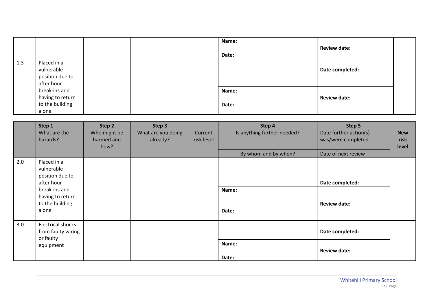|     |                                                               |  | Name:<br>Date: | <b>Review date:</b> |  |
|-----|---------------------------------------------------------------|--|----------------|---------------------|--|
| 1.3 | Placed in a<br>vulnerable<br>position due to<br>after hour    |  |                | Date completed:     |  |
|     | break-ins and<br>having to return<br>to the building<br>alone |  | Name:<br>Date: | <b>Review date:</b> |  |

|     | Step 1<br>What are the<br>hazards?                                                                                          | Step 2<br>Who might be<br>harmed and<br>how? | Step 3<br>What are you doing<br>already? | Current<br>risk level | Step 4<br>Is anything further needed?<br>By whom and by when? | Step 5<br>Date further action(s)<br>was/were completed<br>Date of next review | <b>New</b><br>risk<br>level |
|-----|-----------------------------------------------------------------------------------------------------------------------------|----------------------------------------------|------------------------------------------|-----------------------|---------------------------------------------------------------|-------------------------------------------------------------------------------|-----------------------------|
| 2.0 | Placed in a<br>vulnerable<br>position due to<br>after hour<br>break-ins and<br>having to return<br>to the building<br>alone |                                              |                                          |                       | Name:<br>Date:                                                | Date completed:<br><b>Review date:</b>                                        |                             |
| 3.0 | <b>Electrical shocks</b><br>from faulty wiring<br>or faulty<br>equipment                                                    |                                              |                                          |                       | Name:<br>Date:                                                | Date completed:<br><b>Review date:</b>                                        |                             |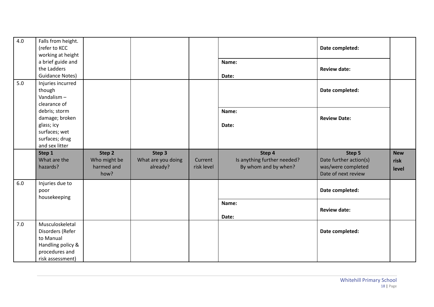| 4.0 | Falls from height.<br>(refer to KCC<br>working at height                                           |                                              |                                          |                       |                                                               | Date completed:                                                               |                             |
|-----|----------------------------------------------------------------------------------------------------|----------------------------------------------|------------------------------------------|-----------------------|---------------------------------------------------------------|-------------------------------------------------------------------------------|-----------------------------|
|     | a brief guide and<br>the Ladders<br><b>Guidance Notes)</b>                                         |                                              |                                          |                       | Name:<br>Date:                                                | <b>Review date:</b>                                                           |                             |
| 5.0 | Injuries incurred<br>though<br>Vandalism-<br>clearance of                                          |                                              |                                          |                       |                                                               | Date completed:                                                               |                             |
|     | debris; storm<br>damage; broken<br>glass; icy<br>surfaces; wet<br>surfaces; drug<br>and sex litter |                                              |                                          |                       | Name:<br>Date:                                                | <b>Review Date:</b>                                                           |                             |
|     |                                                                                                    |                                              |                                          |                       |                                                               |                                                                               |                             |
|     | Step 1<br>What are the<br>hazards?                                                                 | Step 2<br>Who might be<br>harmed and<br>how? | Step 3<br>What are you doing<br>already? | Current<br>risk level | Step 4<br>Is anything further needed?<br>By whom and by when? | Step 5<br>Date further action(s)<br>was/were completed<br>Date of next review | <b>New</b><br>risk<br>level |
| 6.0 | Injuries due to<br>poor                                                                            |                                              |                                          |                       |                                                               | Date completed:                                                               |                             |
|     | housekeeping                                                                                       |                                              |                                          |                       | Name:<br>Date:                                                | <b>Review date:</b>                                                           |                             |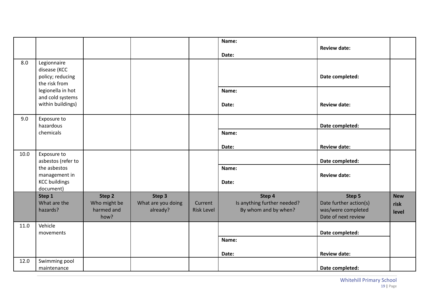|      |                                                                                                         |                                    |                                |                              | Name:<br>Date:                                      | <b>Review date:</b>                                                 |               |
|------|---------------------------------------------------------------------------------------------------------|------------------------------------|--------------------------------|------------------------------|-----------------------------------------------------|---------------------------------------------------------------------|---------------|
| 8.0  | Legionnaire<br>disease (KCC<br>policy; reducing<br>the risk from                                        |                                    |                                |                              |                                                     | Date completed:                                                     |               |
|      | legionella in hot<br>and cold systems<br>within buildings)                                              |                                    |                                |                              | Name:<br>Date:                                      | <b>Review date:</b>                                                 |               |
| 9.0  | Exposure to<br>hazardous                                                                                |                                    |                                |                              |                                                     | Date completed:                                                     |               |
|      | chemicals                                                                                               |                                    |                                |                              | Name:                                               |                                                                     |               |
|      |                                                                                                         |                                    |                                |                              | Date:                                               | <b>Review date:</b>                                                 |               |
| 10.0 | Exposure to<br>asbestos (refer to<br>the asbestos<br>management in<br><b>KCC buildings</b><br>document) |                                    |                                |                              | Name:<br>Date:                                      | Date completed:<br><b>Review date:</b>                              |               |
|      | Step 1                                                                                                  | Step 2                             | Step 3                         |                              | Step 4                                              | Step 5                                                              | <b>New</b>    |
|      | What are the<br>hazards?                                                                                | Who might be<br>harmed and<br>how? | What are you doing<br>already? | Current<br><b>Risk Level</b> | Is anything further needed?<br>By whom and by when? | Date further action(s)<br>was/were completed<br>Date of next review | risk<br>level |
| 11.0 | Vehicle                                                                                                 |                                    |                                |                              |                                                     |                                                                     |               |
|      | movements                                                                                               |                                    |                                |                              | Name:                                               | Date completed:                                                     |               |
|      |                                                                                                         |                                    |                                |                              |                                                     |                                                                     |               |
| 12.0 | Swimming pool                                                                                           |                                    |                                |                              | Date:                                               | <b>Review date:</b>                                                 |               |
|      | maintenance                                                                                             |                                    |                                |                              |                                                     | Date completed:                                                     |               |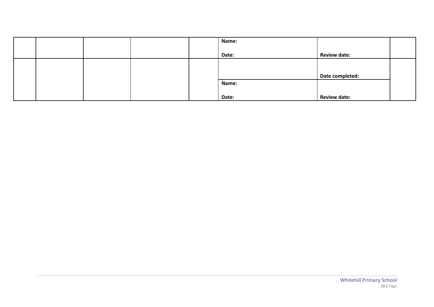|  |  | Name: |                     |  |
|--|--|-------|---------------------|--|
|  |  |       |                     |  |
|  |  | Date: | <b>Review date:</b> |  |
|  |  |       |                     |  |
|  |  |       |                     |  |
|  |  |       | Date completed:     |  |
|  |  | Name: |                     |  |
|  |  |       |                     |  |
|  |  | Date: | <b>Review date:</b> |  |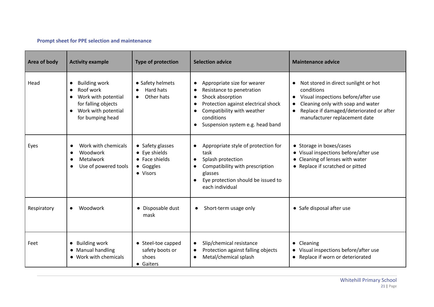# **Prompt sheet for PPE selection and maintenance**

| Area of body | <b>Activity example</b>                                                                                                                                                        | <b>Type of protection</b>                                                    | <b>Selection advice</b>                                                                                                                                                                                                                                              | <b>Maintenance advice</b>                                                                                                                                                                                                             |
|--------------|--------------------------------------------------------------------------------------------------------------------------------------------------------------------------------|------------------------------------------------------------------------------|----------------------------------------------------------------------------------------------------------------------------------------------------------------------------------------------------------------------------------------------------------------------|---------------------------------------------------------------------------------------------------------------------------------------------------------------------------------------------------------------------------------------|
| Head         | <b>Building work</b><br>$\bullet$<br>Roof work<br>$\bullet$<br>Work with potential<br>$\bullet$<br>for falling objects<br>Work with potential<br>$\bullet$<br>for bumping head | • Safety helmets<br>Hard hats<br>Other hats                                  | Appropriate size for wearer<br>$\bullet$<br>Resistance to penetration<br>$\bullet$<br>Shock absorption<br>$\bullet$<br>Protection against electrical shock<br>$\bullet$<br>Compatibility with weather<br>conditions<br>Suspension system e.g. head band<br>$\bullet$ | Not stored in direct sunlight or hot<br>$\bullet$<br>conditions<br>Visual inspections before/after use<br>Cleaning only with soap and water<br>$\bullet$<br>Replace if damaged/deteriorated or after<br>manufacturer replacement date |
| Eyes         | Work with chemicals<br>$\bullet$<br>Woodwork<br>$\bullet$<br>Metalwork<br>$\bullet$<br>Use of powered tools<br>$\bullet$                                                       | • Safety glasses<br>• Eye shields<br>• Face shields<br>• Goggles<br>• Visors | Appropriate style of protection for<br>$\bullet$<br>task<br>Splash protection<br>$\bullet$<br>Compatibility with prescription<br>glasses<br>Eye protection should be issued to<br>$\bullet$<br>each individual                                                       | • Storage in boxes/cases<br>• Visual inspections before/after use<br>• Cleaning of lenses with water<br>• Replace if scratched or pitted                                                                                              |
| Respiratory  | Woodwork<br>$\bullet$                                                                                                                                                          | • Disposable dust<br>mask                                                    | Short-term usage only<br>$\bullet$                                                                                                                                                                                                                                   | • Safe disposal after use                                                                                                                                                                                                             |
| Feet         | <b>Building work</b><br>$\bullet$<br>Manual handling<br>$\bullet$<br>• Work with chemicals                                                                                     | • Steel-toe capped<br>safety boots or<br>shoes<br>• Gaiters                  | Slip/chemical resistance<br>$\bullet$<br>Protection against falling objects<br>$\bullet$<br>Metal/chemical splash<br>$\bullet$                                                                                                                                       | Cleaning<br>$\bullet$<br>• Visual inspections before/after use<br>• Replace if worn or deteriorated                                                                                                                                   |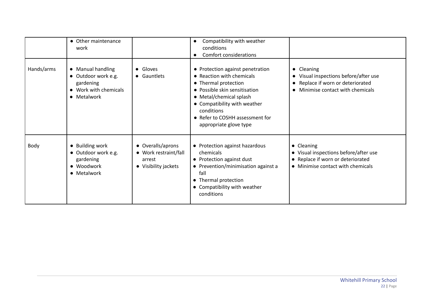|            | • Other maintenance<br>work                                                                   |                                                                              | Compatibility with weather<br>$\bullet$<br>conditions<br>Comfort considerations<br>$\bullet$                                                                                                                                                                 |                                                                                                                               |
|------------|-----------------------------------------------------------------------------------------------|------------------------------------------------------------------------------|--------------------------------------------------------------------------------------------------------------------------------------------------------------------------------------------------------------------------------------------------------------|-------------------------------------------------------------------------------------------------------------------------------|
| Hands/arms | • Manual handling<br>· Outdoor work e.g.<br>gardening<br>• Work with chemicals<br>• Metalwork | • Gloves<br>• Gauntlets                                                      | • Protection against penetration<br>• Reaction with chemicals<br>• Thermal protection<br>• Possible skin sensitisation<br>• Metal/chemical splash<br>• Compatibility with weather<br>conditions<br>• Refer to COSHH assessment for<br>appropriate glove type | • Cleaning<br>• Visual inspections before/after use<br>Replace if worn or deteriorated<br>Minimise contact with chemicals     |
| Body       | • Building work<br>· Outdoor work e.g.<br>gardening<br>• Woodwork<br>• Metalwork              | • Overalls/aprons<br>• Work restraint/fall<br>arrest<br>• Visibility jackets | • Protection against hazardous<br>chemicals<br>• Protection against dust<br>• Prevention/minimisation against a<br>fall<br>• Thermal protection<br>• Compatibility with weather<br>conditions                                                                | • Cleaning<br>• Visual inspections before/after use<br>• Replace if worn or deteriorated<br>• Minimise contact with chemicals |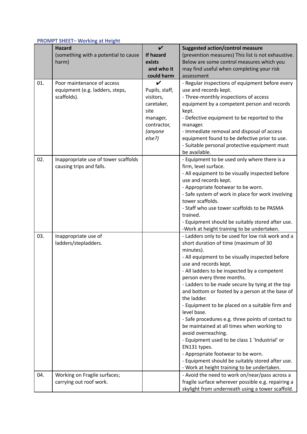## **PROMPT SHEET– Working at Height**

|     | ---------- <b>-</b><br><b>Hazard</b> | $\boldsymbol{\nu}$ | <b>Suggested action/control measure</b>            |
|-----|--------------------------------------|--------------------|----------------------------------------------------|
|     |                                      | If hazard          |                                                    |
|     | (something with a potential to cause |                    | (prevention measures) This list is not exhaustive. |
|     | harm)                                | exists             | Below are some control measures which you          |
|     |                                      | and who it         | may find useful when completing your risk          |
|     |                                      | could harm         | assessment                                         |
| 01. | Poor maintenance of access           | V                  | - Regular inspections of equipment before every    |
|     | equipment (e.g. ladders, steps,      | Pupils, staff,     | use and records kept.                              |
|     | scaffolds).                          | visitors,          | - Three-monthly inspections of access              |
|     |                                      | caretaker,         | equipment by a competent person and records        |
|     |                                      | site               | kept.                                              |
|     |                                      | manager,           | - Defective equipment to be reported to the        |
|     |                                      | contractor,        | manager.                                           |
|     |                                      | (anyone            | - Immediate removal and disposal of access         |
|     |                                      | else?)             | equipment found to be defective prior to use.      |
|     |                                      |                    | - Suitable personal protective equipment must      |
|     |                                      |                    | be available.                                      |
| 02. | Inappropriate use of tower scaffolds |                    | - Equipment to be used only where there is a       |
|     | causing trips and falls.             |                    | firm, level surface.                               |
|     |                                      |                    | - All equipment to be visually inspected before    |
|     |                                      |                    | use and records kept.                              |
|     |                                      |                    | - Appropriate footwear to be worn.                 |
|     |                                      |                    | - Safe system of work in place for work involving  |
|     |                                      |                    | tower scaffolds.                                   |
|     |                                      |                    | - Staff who use tower scaffolds to be PASMA        |
|     |                                      |                    | trained.                                           |
|     |                                      |                    | - Equipment should be suitably stored after use.   |
|     |                                      |                    | -Work at height training to be undertaken.         |
| 03. | Inappropriate use of                 |                    | - Ladders only to be used for low risk work and a  |
|     | ladders/stepladders.                 |                    | short duration of time (maximum of 30              |
|     |                                      |                    | minutes).                                          |
|     |                                      |                    | - All equipment to be visually inspected before    |
|     |                                      |                    | use and records kept.                              |
|     |                                      |                    | - All ladders to be inspected by a competent       |
|     |                                      |                    | person every three months.                         |
|     |                                      |                    | - Ladders to be made secure by tying at the top    |
|     |                                      |                    | and bottom or footed by a person at the base of    |
|     |                                      |                    | the ladder.                                        |
|     |                                      |                    | - Equipment to be placed on a suitable firm and    |
|     |                                      |                    | level base.                                        |
|     |                                      |                    | - Safe procedures e.g. three points of contact to  |
|     |                                      |                    | be maintained at all times when working to         |
|     |                                      |                    | avoid overreaching.                                |
|     |                                      |                    | - Equipment used to be class 1 'Industrial' or     |
|     |                                      |                    | EN131 types.                                       |
|     |                                      |                    | - Appropriate footwear to be worn.                 |
|     |                                      |                    | - Equipment should be suitably stored after use.   |
|     |                                      |                    | - Work at height training to be undertaken.        |
| 04. | Working on Fragile surfaces;         |                    | - Avoid the need to work on/near/pass across a     |
|     | carrying out roof work.              |                    | fragile surface wherever possible e.g. repairing a |
|     |                                      |                    | skylight from underneath using a tower scaffold.   |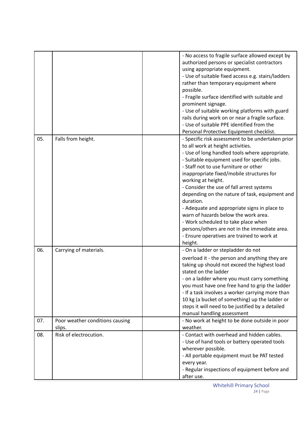|     |                                 | - No access to fragile surface allowed except by<br>authorized persons or specialist contractors<br>using appropriate equipment.<br>- Use of suitable fixed access e.g. stairs/ladders |
|-----|---------------------------------|----------------------------------------------------------------------------------------------------------------------------------------------------------------------------------------|
|     |                                 | rather than temporary equipment where                                                                                                                                                  |
|     |                                 | possible.                                                                                                                                                                              |
|     |                                 | - Fragile surface identified with suitable and                                                                                                                                         |
|     |                                 | prominent signage.                                                                                                                                                                     |
|     |                                 | - Use of suitable working platforms with guard                                                                                                                                         |
|     |                                 | rails during work on or near a fragile surface.<br>- Use of suitable PPE identified from the                                                                                           |
|     |                                 | Personal Protective Equipment checklist.                                                                                                                                               |
| 05. | Falls from height.              | - Specific risk assessment to be undertaken prior                                                                                                                                      |
|     |                                 | to all work at height activities.                                                                                                                                                      |
|     |                                 | - Use of long handled tools where appropriate.                                                                                                                                         |
|     |                                 | - Suitable equipment used for specific jobs.                                                                                                                                           |
|     |                                 | - Staff not to use furniture or other                                                                                                                                                  |
|     |                                 | inappropriate fixed/mobile structures for                                                                                                                                              |
|     |                                 | working at height.<br>- Consider the use of fall arrest systems                                                                                                                        |
|     |                                 | depending on the nature of task, equipment and                                                                                                                                         |
|     |                                 | duration.                                                                                                                                                                              |
|     |                                 | - Adequate and appropriate signs in place to                                                                                                                                           |
|     |                                 | warn of hazards below the work area.                                                                                                                                                   |
|     |                                 | - Work scheduled to take place when                                                                                                                                                    |
|     |                                 | persons/others are not in the immediate area.                                                                                                                                          |
|     |                                 | - Ensure operatives are trained to work at<br>height.                                                                                                                                  |
| 06. | Carrying of materials.          | - On a ladder or stepladder do not                                                                                                                                                     |
|     |                                 | overload it - the person and anything they are                                                                                                                                         |
|     |                                 | taking up should not exceed the highest load<br>stated on the ladder                                                                                                                   |
|     |                                 | - on a ladder where you must carry something                                                                                                                                           |
|     |                                 | you must have one free hand to grip the ladder                                                                                                                                         |
|     |                                 | - If a task involves a worker carrying more than                                                                                                                                       |
|     |                                 | 10 kg (a bucket of something) up the ladder or                                                                                                                                         |
|     |                                 | steps it will need to be justified by a detailed<br>manual handling assessment                                                                                                         |
| 07. | Poor weather conditions causing | - No work at height to be done outside in poor                                                                                                                                         |
|     | slips.                          | weather.                                                                                                                                                                               |
| 08. | Risk of electrocution.          | - Contact with overhead and hidden cables.                                                                                                                                             |
|     |                                 | - Use of hand tools or battery operated tools                                                                                                                                          |
|     |                                 | wherever possible.                                                                                                                                                                     |
|     |                                 | - All portable equipment must be PAT tested                                                                                                                                            |
|     |                                 | every year.                                                                                                                                                                            |
|     |                                 | - Regular inspections of equipment before and<br>after use.                                                                                                                            |
|     |                                 |                                                                                                                                                                                        |